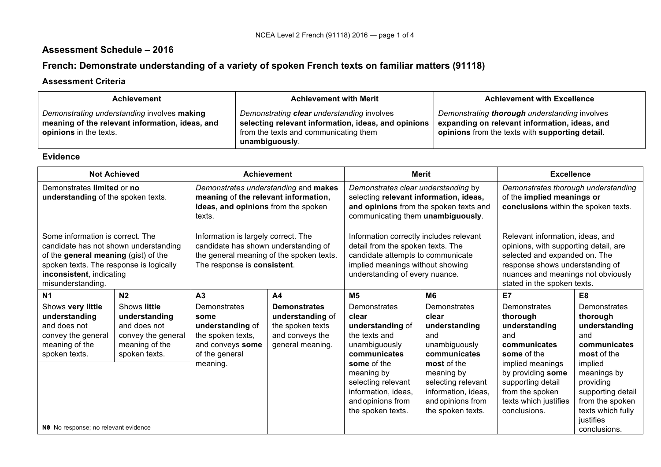## **Assessment Schedule – 2016**

# **French: Demonstrate understanding of a variety of spoken French texts on familiar matters (91118)**

#### **Assessment Criteria**

| <b>Achievement</b>                                                                                                              | <b>Achievement with Merit</b>                                                                                                                                | <b>Achievement with Excellence</b>                                                                                                                |
|---------------------------------------------------------------------------------------------------------------------------------|--------------------------------------------------------------------------------------------------------------------------------------------------------------|---------------------------------------------------------------------------------------------------------------------------------------------------|
| Demonstrating understanding involves making<br>meaning of the relevant information, ideas, and<br><b>opinions</b> in the texts. | Demonstrating clear understanding involves<br>selecting relevant information, ideas, and opinions<br>from the texts and communicating them<br>unambiguously. | Demonstrating thorough understanding involves<br>expanding on relevant information, ideas, and<br>opinions from the texts with supporting detail. |

#### **Evidence**

| <b>Not Achieved</b><br><b>Achievement</b>                                                                   |                                                                                                                                                                                                                                                                                                                                                                                                                                                                                                                   |                                                                                                                               | <b>Merit</b>                                                                                       |                                                                                                                                                                                                                    | <b>Excellence</b>                                                                                                |                                                                                                                        |                                                                                                                               |
|-------------------------------------------------------------------------------------------------------------|-------------------------------------------------------------------------------------------------------------------------------------------------------------------------------------------------------------------------------------------------------------------------------------------------------------------------------------------------------------------------------------------------------------------------------------------------------------------------------------------------------------------|-------------------------------------------------------------------------------------------------------------------------------|----------------------------------------------------------------------------------------------------|--------------------------------------------------------------------------------------------------------------------------------------------------------------------------------------------------------------------|------------------------------------------------------------------------------------------------------------------|------------------------------------------------------------------------------------------------------------------------|-------------------------------------------------------------------------------------------------------------------------------|
| Demonstrates limited or no<br>understanding of the spoken texts.                                            |                                                                                                                                                                                                                                                                                                                                                                                                                                                                                                                   | Demonstrates understanding and makes<br>meaning of the relevant information,<br>ideas, and opinions from the spoken<br>texts. |                                                                                                    | Demonstrates clear understanding by<br>selecting relevant information, ideas,<br>and opinions from the spoken texts and<br>communicating them unambiguously.                                                       |                                                                                                                  | Demonstrates thorough understanding<br>of the implied meanings or<br>conclusions within the spoken texts.              |                                                                                                                               |
| inconsistent, indicating<br>misunderstanding.                                                               | Some information is correct. The<br>Information is largely correct. The<br>Information correctly includes relevant<br>candidate has shown understanding of<br>candidate has not shown understanding<br>detail from the spoken texts. The<br>the general meaning of the spoken texts.<br>of the general meaning (gist) of the<br>candidate attempts to communicate<br>spoken texts. The response is logically<br>The response is consistent.<br>implied meanings without showing<br>understanding of every nuance. |                                                                                                                               |                                                                                                    | Relevant information, ideas, and<br>opinions, with supporting detail, are<br>selected and expanded on. The<br>response shows understanding of<br>nuances and meanings not obviously<br>stated in the spoken texts. |                                                                                                                  |                                                                                                                        |                                                                                                                               |
| <b>N1</b>                                                                                                   | N <sub>2</sub>                                                                                                                                                                                                                                                                                                                                                                                                                                                                                                    | A <sub>3</sub>                                                                                                                | A <sub>4</sub>                                                                                     | M <sub>5</sub>                                                                                                                                                                                                     | M <sub>6</sub>                                                                                                   | E7                                                                                                                     | E8                                                                                                                            |
| Shows very little<br>understanding<br>and does not<br>convey the general<br>meaning of the<br>spoken texts. | Shows little<br>understanding<br>and does not<br>convey the general<br>meaning of the<br>spoken texts.                                                                                                                                                                                                                                                                                                                                                                                                            | Demonstrates<br>some<br>understanding of<br>the spoken texts,<br>and conveys some<br>of the general                           | <b>Demonstrates</b><br>understanding of<br>the spoken texts<br>and conveys the<br>general meaning. | Demonstrates<br>clear<br>understanding of<br>the texts and<br>unambiguously<br>communicates                                                                                                                        | Demonstrates<br>clear<br>understanding<br>and<br>unambiguously<br>communicates                                   | Demonstrates<br>thorough<br>understanding<br>and<br>communicates<br>some of the                                        | Demonstrates<br>thorough<br>understanding<br>and<br>communicates<br>most of the                                               |
| NO No response; no relevant evidence                                                                        |                                                                                                                                                                                                                                                                                                                                                                                                                                                                                                                   | meaning.                                                                                                                      |                                                                                                    | some of the<br>meaning by<br>selecting relevant<br>information, ideas,<br>and opinions from<br>the spoken texts.                                                                                                   | most of the<br>meaning by<br>selecting relevant<br>information, ideas,<br>and opinions from<br>the spoken texts. | implied meanings<br>by providing some<br>supporting detail<br>from the spoken<br>texts which justifies<br>conclusions. | implied<br>meanings by<br>providing<br>supporting detail<br>from the spoken<br>texts which fully<br>justifies<br>conclusions. |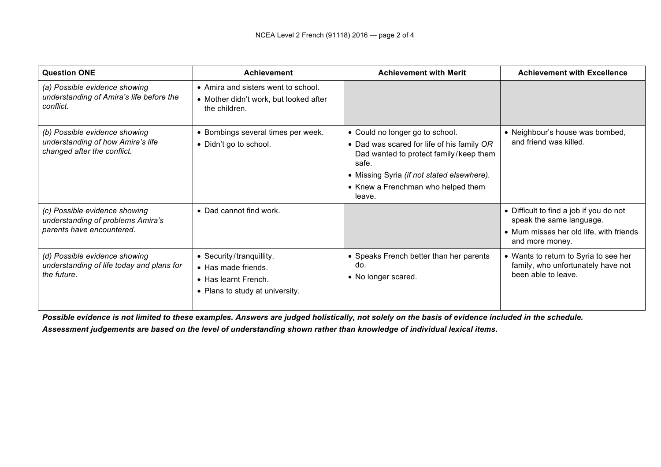| <b>Question ONE</b>                                                                               | <b>Achievement</b>                                                                                                 | <b>Achievement with Merit</b>                                                                                                                                                                                                  | <b>Achievement with Excellence</b>                                                                                                |
|---------------------------------------------------------------------------------------------------|--------------------------------------------------------------------------------------------------------------------|--------------------------------------------------------------------------------------------------------------------------------------------------------------------------------------------------------------------------------|-----------------------------------------------------------------------------------------------------------------------------------|
| (a) Possible evidence showing<br>understanding of Amira's life before the<br>conflict.            | • Amira and sisters went to school.<br>• Mother didn't work, but looked after<br>the children.                     |                                                                                                                                                                                                                                |                                                                                                                                   |
| (b) Possible evidence showing<br>understanding of how Amira's life<br>changed after the conflict. | • Bombings several times per week.<br>• Didn't go to school.                                                       | • Could no longer go to school.<br>• Dad was scared for life of his family OR<br>Dad wanted to protect family/keep them<br>safe.<br>• Missing Syria (if not stated elsewhere).<br>• Knew a Frenchman who helped them<br>leave. | • Neighbour's house was bombed,<br>and friend was killed.                                                                         |
| (c) Possible evidence showing<br>understanding of problems Amira's<br>parents have encountered.   | • Dad cannot find work.                                                                                            |                                                                                                                                                                                                                                | • Difficult to find a job if you do not<br>speak the same language.<br>• Mum misses her old life, with friends<br>and more money. |
| (d) Possible evidence showing<br>understanding of life today and plans for<br>the future.         | • Security/tranquillity.<br>• Has made friends.<br>$\bullet$ Has learnt French.<br>• Plans to study at university. | • Speaks French better than her parents<br>do.<br>• No longer scared.                                                                                                                                                          | • Wants to return to Syria to see her<br>family, who unfortunately have not<br>been able to leave.                                |

*Possible evidence is not limited to these examples. Answers are judged holistically, not solely on the basis of evidence included in the schedule.*

*Assessment judgements are based on the level of understanding shown rather than knowledge of individual lexical items.*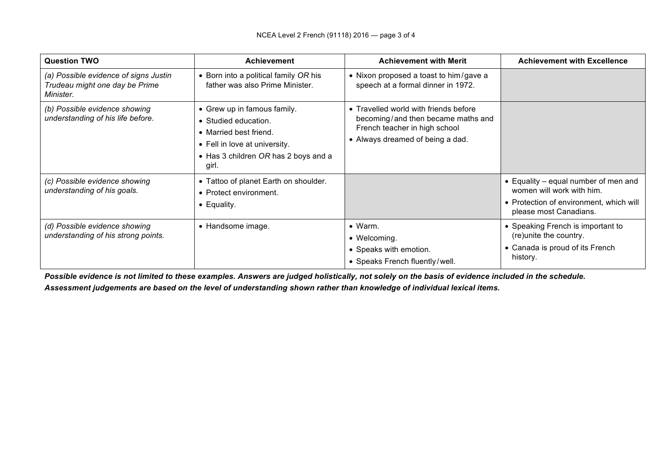| <b>Question TWO</b>                                                                  | <b>Achievement</b>                                                                                                                                              | <b>Achievement with Merit</b>                                                                                                                    | <b>Achievement with Excellence</b>                                                                                                     |
|--------------------------------------------------------------------------------------|-----------------------------------------------------------------------------------------------------------------------------------------------------------------|--------------------------------------------------------------------------------------------------------------------------------------------------|----------------------------------------------------------------------------------------------------------------------------------------|
| (a) Possible evidence of signs Justin<br>Trudeau might one day be Prime<br>Minister. | • Born into a political family OR his<br>father was also Prime Minister.                                                                                        | • Nixon proposed a toast to him/gave a<br>speech at a formal dinner in 1972.                                                                     |                                                                                                                                        |
| (b) Possible evidence showing<br>understanding of his life before.                   | • Grew up in famous family.<br>• Studied education.<br>• Married best friend.<br>• Fell in love at university.<br>• Has 3 children OR has 2 boys and a<br>girl. | • Travelled world with friends before<br>becoming/and then became maths and<br>French teacher in high school<br>• Always dreamed of being a dad. |                                                                                                                                        |
| (c) Possible evidence showing<br>understanding of his goals.                         | • Tattoo of planet Earth on shoulder.<br>• Protect environment.<br>$\bullet$ Equality.                                                                          |                                                                                                                                                  | • Equality – equal number of men and<br>women will work with him.<br>• Protection of environment, which will<br>please most Canadians. |
| (d) Possible evidence showing<br>understanding of his strong points.                 | • Handsome image.                                                                                                                                               | $\bullet$ Warm.<br>• Welcoming.<br>• Speaks with emotion.<br>• Speaks French fluently/well.                                                      | • Speaking French is important to<br>(re) unite the country.<br>• Canada is proud of its French<br>history.                            |

*Possible evidence is not limited to these examples. Answers are judged holistically, not solely on the basis of evidence included in the schedule.*

*Assessment judgements are based on the level of understanding shown rather than knowledge of individual lexical items.*